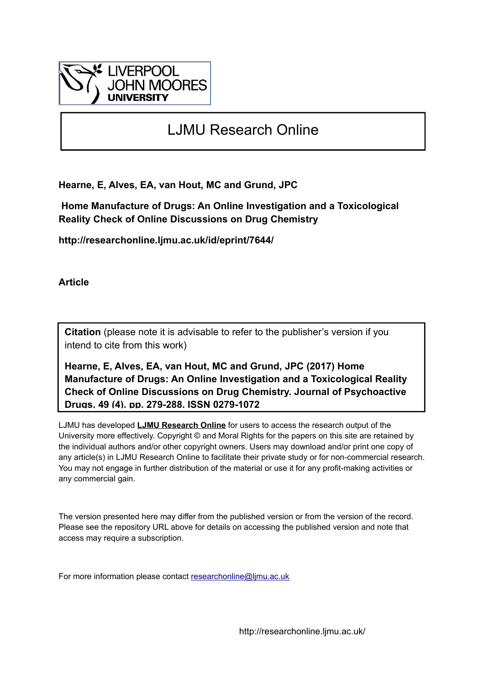

# LJMU Research Online

**Hearne, E, Alves, EA, van Hout, MC and Grund, JPC**

 **Home Manufacture of Drugs: An Online Investigation and a Toxicological Reality Check of Online Discussions on Drug Chemistry**

**http://researchonline.ljmu.ac.uk/id/eprint/7644/**

**Article**

**Citation** (please note it is advisable to refer to the publisher's version if you intend to cite from this work)

**Hearne, E, Alves, EA, van Hout, MC and Grund, JPC (2017) Home Manufacture of Drugs: An Online Investigation and a Toxicological Reality Check of Online Discussions on Drug Chemistry. Journal of Psychoactive Drugs, 49 (4). pp. 279-288. ISSN 0279-1072** 

LJMU has developed **[LJMU Research Online](http://researchonline.ljmu.ac.uk/)** for users to access the research output of the University more effectively. Copyright © and Moral Rights for the papers on this site are retained by the individual authors and/or other copyright owners. Users may download and/or print one copy of any article(s) in LJMU Research Online to facilitate their private study or for non-commercial research. You may not engage in further distribution of the material or use it for any profit-making activities or any commercial gain.

The version presented here may differ from the published version or from the version of the record. Please see the repository URL above for details on accessing the published version and note that access may require a subscription.

For more information please contact [researchonline@ljmu.ac.uk](mailto:researchonline@ljmu.ac.uk)

http://researchonline.ljmu.ac.uk/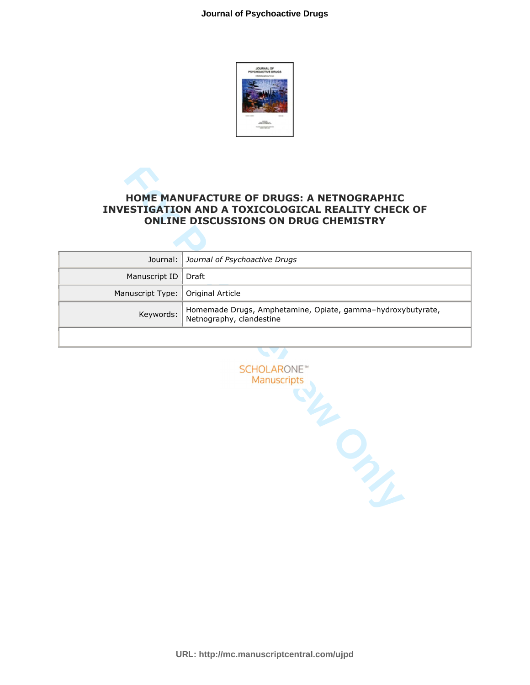

# **INVESTIGATION AND A TOXICOLOGICAL REALITY CHECK OF ONLINE DISCUSSIONS ON DRUG CHEMISTRY**

| <b>HOME MANUFACTURE OF DRUGS: A NETNOGRAPHIC</b><br><b>INVESTIGATION AND A TOXICOLOGICAL REALITY CHECK OF</b><br><b>ONLINE DISCUSSIONS ON DRUG CHEMISTRY</b> |                                                                                         |  |
|--------------------------------------------------------------------------------------------------------------------------------------------------------------|-----------------------------------------------------------------------------------------|--|
|                                                                                                                                                              |                                                                                         |  |
| Journal:                                                                                                                                                     | Journal of Psychoactive Drugs                                                           |  |
| Manuscript ID                                                                                                                                                | <b>Draft</b>                                                                            |  |
| Manuscript Type:                                                                                                                                             | Original Article                                                                        |  |
| Keywords:                                                                                                                                                    | Homemade Drugs, Amphetamine, Opiate, gamma-hydroxybutyrate,<br>Netnography, clandestine |  |
|                                                                                                                                                              |                                                                                         |  |
|                                                                                                                                                              |                                                                                         |  |
|                                                                                                                                                              | <b>SCHOLARONE</b> <sup>®</sup><br>Manuscripts                                           |  |
|                                                                                                                                                              |                                                                                         |  |

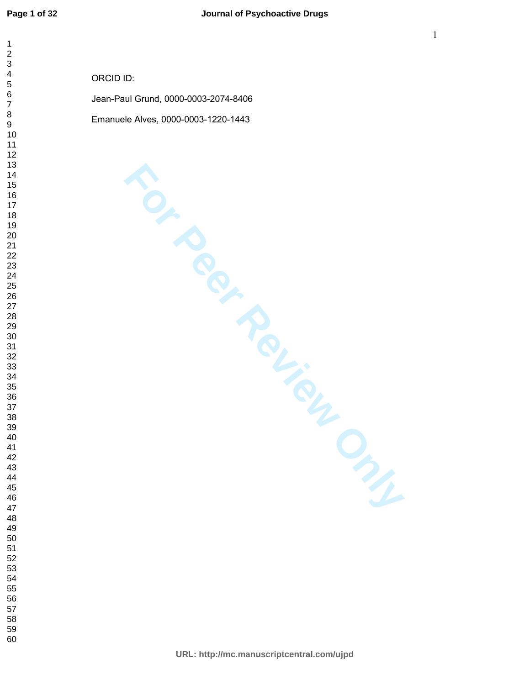| $\mathbf 1$<br>$\frac{2}{3}$                                                                                                                                                                                                                                                                      |                                      |
|---------------------------------------------------------------------------------------------------------------------------------------------------------------------------------------------------------------------------------------------------------------------------------------------------|--------------------------------------|
| $\overline{\mathbf{4}}$                                                                                                                                                                                                                                                                           | ORCID ID:                            |
| $\begin{array}{c} 5 \\ 6 \end{array}$<br>$\overline{7}$                                                                                                                                                                                                                                           | Jean-Paul Grund, 0000-0003-2074-8406 |
| $\bf 8$<br>$\boldsymbol{9}$                                                                                                                                                                                                                                                                       | Emanuele Alves, 0000-0003-1220-1443  |
| $10\,$<br>$11$<br>12<br>13<br>14<br>15<br>$16\,$<br>17<br>18<br>$19$<br>$20\,$<br>21<br>$22\,$<br>23<br>24<br>25<br>${\bf 26}$<br>27<br>28<br>29<br>$30\,$<br>31<br>32<br>33<br>34<br>35<br>36<br>37<br>38<br>39<br>$40\,$<br>41<br>42<br>43<br>44<br>45<br>46<br>47<br>48<br>49<br>5555556555660 |                                      |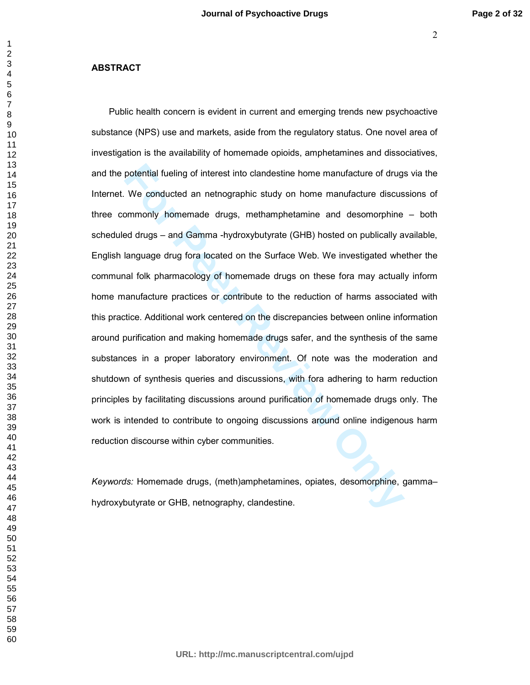#### **ABSTRACT**

potential fueling of interest into clandestine home manufacture of drugs<br>We conducted an netnographic study on home manufacture discus<br>mmonly homemade drugs, methamphetamine and desomorphine<br>ed drugs – and Gamma -hydroxybu Public health concern is evident in current and emerging trends new psychoactive substance (NPS) use and markets, aside from the regulatory status. One novel area of investigation is the availability of homemade opioids, amphetamines and dissociatives, and the potential fueling of interest into clandestine home manufacture of drugs via the Internet. We conducted an netnographic study on home manufacture discussions of three commonly homemade drugs, methamphetamine and desomorphine – both scheduled drugs – and Gamma -hydroxybutyrate (GHB) hosted on publically available, English language drug fora located on the Surface Web. We investigated whether the communal folk pharmacology of homemade drugs on these fora may actually inform home manufacture practices or contribute to the reduction of harms associated with this practice. Additional work centered on the discrepancies between online information around purification and making homemade drugs safer, and the synthesis of the same substances in a proper laboratory environment. Of note was the moderation and shutdown of synthesis queries and discussions, with fora adhering to harm reduction principles by facilitating discussions around purification of homemade drugs only. The work is intended to contribute to ongoing discussions around online indigenous harm reduction discourse within cyber communities.

*Keywords:* Homemade drugs, (meth)amphetamines, opiates, desomorphine, gamma– hydroxybutyrate or GHB, netnography, clandestine.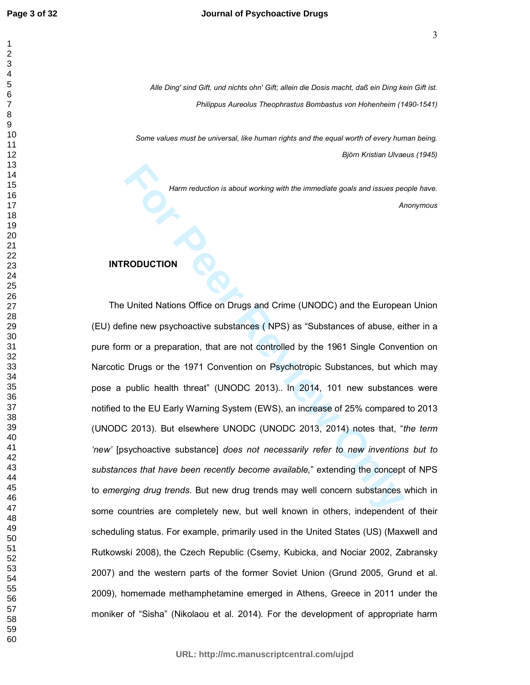*Alle Ding' sind Gift, und nichts ohn' Gift; allein die Dosis macht, daß ein Ding kein Gift ist. Philippus Aureolus Theophrastus Bombastus von Hohenheim (1490-1541)* 

*Some values must be universal, like human rights and the equal worth of every human being. Björn Kristian Ulvaeus (1945)* 

> *Harm reduction is about working with the immediate goals and issues people have. Anonymous*

#### **INTRODUCTION**

**Form reduction is about working with the immediate goals and issues per Review of the European Conduction Soffice on Drugs and Crime (UNODC) and the European Cine new psychoactive substances ( NPS) as "Substances of abuse** The United Nations Office on Drugs and Crime (UNODC) and the European Union (EU) define new psychoactive substances ( NPS) as "Substances of abuse, either in a pure form or a preparation, that are not controlled by the 1961 Single Convention on Narcotic Drugs or the 1971 Convention on Psychotropic Substances, but which may pose a public health threat" (UNODC 2013).. In 2014, 101 new substances were notified to the EU Early Warning System (EWS), an increase of 25% compared to 2013 (UNODC 2013). But elsewhere UNODC (UNODC 2013, 2014) notes that, "*the term 'new'* [psychoactive substance] *does not necessarily refer to new inventions but to substances that have been recently become available,*" extending the concept of NPS to *emerging drug trends*. But new drug trends may well concern substances which in some countries are completely new, but well known in others, independent of their scheduling status. For example, primarily used in the United States (US) (Maxwell and Rutkowski 2008), the Czech Republic (Csemy, Kubicka, and Nociar 2002, Zabransky 2007) and the western parts of the former Soviet Union (Grund 2005, Grund et al. 2009), homemade methamphetamine emerged in Athens, Greece in 2011 under the moniker of "Sisha" (Nikolaou et al. 2014). For the development of appropriate harm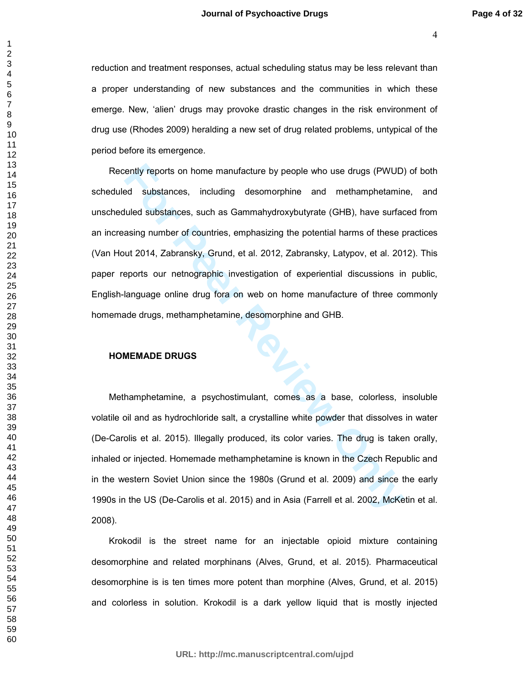reduction and treatment responses, actual scheduling status may be less relevant than a proper understanding of new substances and the communities in which these emerge. New, 'alien' drugs may provoke drastic changes in the risk environment of drug use (Rhodes 2009) heralding a new set of drug related problems, untypical of the period before its emergence.

ently reports on home manufacture by people who use drugs (PWUD)<br> **Formal standard and the including** desomorphine and methamphetamin<br> **Formal standard and standard and standard and standard standard and standard standard** Recently reports on home manufacture by people who use drugs (PWUD) of both scheduled substances, including desomorphine and methamphetamine, and unscheduled substances, such as Gammahydroxybutyrate (GHB), have surfaced from an increasing number of countries, emphasizing the potential harms of these practices (Van Hout 2014, Zabransky, Grund, et al. 2012, Zabransky, Latypov, et al. 2012). This paper reports our netnographic investigation of experiential discussions in public, English-language online drug fora on web on home manufacture of three commonly homemade drugs, methamphetamine, desomorphine and GHB.

#### **HOMEMADE DRUGS**

Methamphetamine, a psychostimulant, comes as a base, colorless, insoluble volatile oil and as hydrochloride salt, a crystalline white powder that dissolves in water (De-Carolis et al. 2015). Illegally produced, its color varies. The drug is taken orally, inhaled or injected. Homemade methamphetamine is known in the Czech Republic and in the western Soviet Union since the 1980s (Grund et al. 2009) and since the early 1990s in the US (De-Carolis et al. 2015) and in Asia (Farrell et al. 2002, McKetin et al. 2008).

Krokodil is the street name for an injectable opioid mixture containing desomorphine and related morphinans (Alves, Grund, et al. 2015). Pharmaceutical desomorphine is is ten times more potent than morphine (Alves, Grund, et al. 2015) and colorless in solution. Krokodil is a dark yellow liquid that is mostly injected

**URL: http://mc.manuscriptcentral.com/ujpd**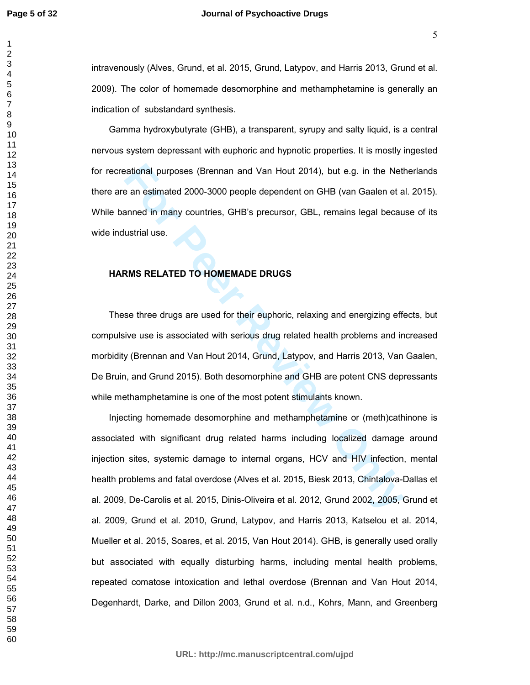intravenously (Alves, Grund, et al. 2015, Grund, Latypov, and Harris 2013, Grund et al. 2009). The color of homemade desomorphine and methamphetamine is generally an indication of substandard synthesis.

Gamma hydroxybutyrate (GHB), a transparent, syrupy and salty liquid, is a central nervous system depressant with euphoric and hypnotic properties. It is mostly ingested for recreational purposes (Brennan and Van Hout 2014), but e.g. in the Netherlands there are an estimated 2000-3000 people dependent on GHB (van Gaalen et al. 2015). While banned in many countries, GHB's precursor, GBL, remains legal because of its wide industrial use.

#### **HARMS RELATED TO HOMEMADE DRUGS**

These three drugs are used for their euphoric, relaxing and energizing effects, but compulsive use is associated with serious drug related health problems and increased morbidity (Brennan and Van Hout 2014, Grund, Latypov, and Harris 2013, Van Gaalen, De Bruin, and Grund 2015). Both desomorphine and GHB are potent CNS depressants while methamphetamine is one of the most potent stimulants known.

extional purposes (Brennan and Van Hout 2014), but e.g. in the Netter<br> **For Peer All and Formal SCOCO (Fig. 1)** and Fig. (van Gaalen et a<br> **Formal in many countries, GHB's precursor, GBL, remains legal becau<br>
ustrial use.<br>** Injecting homemade desomorphine and methamphetamine or (meth)cathinone is associated with significant drug related harms including localized damage around injection sites, systemic damage to internal organs, HCV and HIV infection, mental health problems and fatal overdose (Alves et al. 2015, Biesk 2013, Chintalova-Dallas et al. 2009, De-Carolis et al. 2015, Dinis-Oliveira et al. 2012, Grund 2002, 2005, Grund et al. 2009, Grund et al. 2010, Grund, Latypov, and Harris 2013, Katselou et al. 2014, Mueller et al. 2015, Soares, et al. 2015, Van Hout 2014). GHB, is generally used orally but associated with equally disturbing harms, including mental health problems, repeated comatose intoxication and lethal overdose (Brennan and Van Hout 2014, Degenhardt, Darke, and Dillon 2003, Grund et al. n.d., Kohrs, Mann, and Greenberg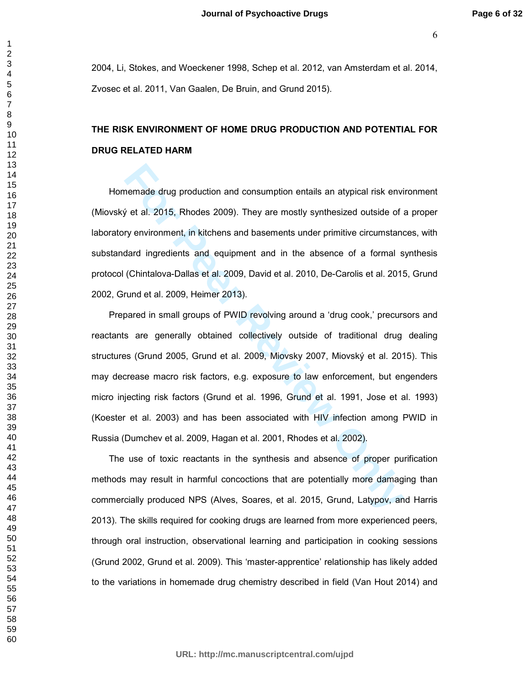2004, Li, Stokes, and Woeckener 1998, Schep et al. 2012, van Amsterdam et al. 2014, Zvosec et al. 2011, Van Gaalen, De Bruin, and Grund 2015).

# **THE RISK ENVIRONMENT OF HOME DRUG PRODUCTION AND POTENTIAL FOR DRUG RELATED HARM**

Homemade drug production and consumption entails an atypical risk environment (Miovský et al. 2015, Rhodes 2009). They are mostly synthesized outside of a proper laboratory environment, in kitchens and basements under primitive circumstances, with substandard ingredients and equipment and in the absence of a formal synthesis protocol (Chintalova-Dallas et al. 2009, David et al. 2010, De-Carolis et al. 2015, Grund 2002, Grund et al. 2009, Heimer 2013).

nemade drug production and consumption entails an atypical risk envisible of the al. 2015, Rhodes 2009). They are mostly synthesized outside of the synthesized outside of the synthesized outside of the synthesized outside Prepared in small groups of PWID revolving around a 'drug cook,' precursors and reactants are generally obtained collectively outside of traditional drug dealing structures (Grund 2005, Grund et al. 2009, Miovsky 2007, Miovský et al. 2015). This may decrease macro risk factors, e.g. exposure to law enforcement, but engenders micro injecting risk factors (Grund et al. 1996, Grund et al. 1991, Jose et al. 1993) (Koester et al. 2003) and has been associated with HIV infection among PWID in Russia (Dumchev et al. 2009, Hagan et al. 2001, Rhodes et al. 2002).

The use of toxic reactants in the synthesis and absence of proper purification methods may result in harmful concoctions that are potentially more damaging than commercially produced NPS (Alves, Soares, et al. 2015, Grund, Latypov, and Harris 2013). The skills required for cooking drugs are learned from more experienced peers, through oral instruction, observational learning and participation in cooking sessions (Grund 2002, Grund et al. 2009). This 'master-apprentice' relationship has likely added to the variations in homemade drug chemistry described in field (Van Hout 2014) and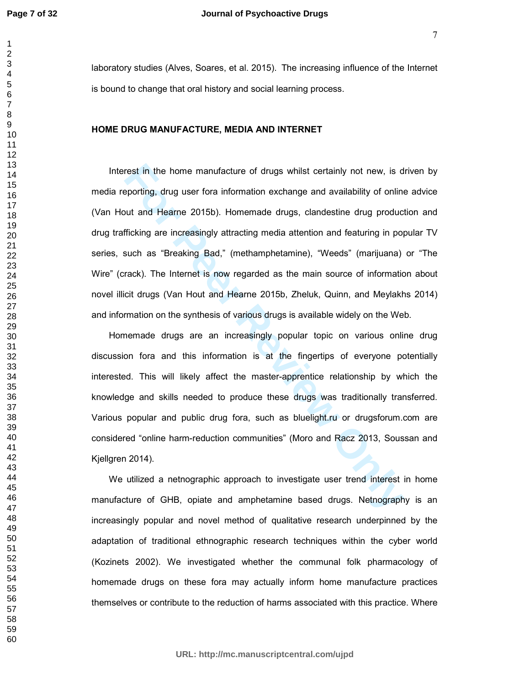laboratory studies (Alves, Soares, et al. 2015). The increasing influence of the Internet is bound to change that oral history and social learning process.

#### **HOME DRUG MANUFACTURE, MEDIA AND INTERNET**

rest in the home manufacture of drugs whilst certainly not new, is deporting, drug user fora information exchange and availability of online but and Hearne 2015b). Homemade drugs, clandestine drug product ficking are incre Interest in the home manufacture of drugs whilst certainly not new, is driven by media reporting, drug user fora information exchange and availability of online advice (Van Hout and Hearne 2015b). Homemade drugs, clandestine drug production and drug trafficking are increasingly attracting media attention and featuring in popular TV series, such as "Breaking Bad," (methamphetamine), "Weeds" (marijuana) or "The Wire" (crack). The Internet is now regarded as the main source of information about novel illicit drugs (Van Hout and Hearne 2015b, Zheluk, Quinn, and Meylakhs 2014) and information on the synthesis of various drugs is available widely on the Web.

Homemade drugs are an increasingly popular topic on various online drug discussion fora and this information is at the fingertips of everyone potentially interested. This will likely affect the master-apprentice relationship by which the knowledge and skills needed to produce these drugs was traditionally transferred. Various popular and public drug fora, such as bluelight.ru or drugsforum.com are considered "online harm-reduction communities" (Moro and Racz 2013, Soussan and Kjellgren 2014).

We utilized a netnographic approach to investigate user trend interest in home manufacture of GHB, opiate and amphetamine based drugs. Netnography is an increasingly popular and novel method of qualitative research underpinned by the adaptation of traditional ethnographic research techniques within the cyber world (Kozinets 2002). We investigated whether the communal folk pharmacology of homemade drugs on these fora may actually inform home manufacture practices themselves or contribute to the reduction of harms associated with this practice. Where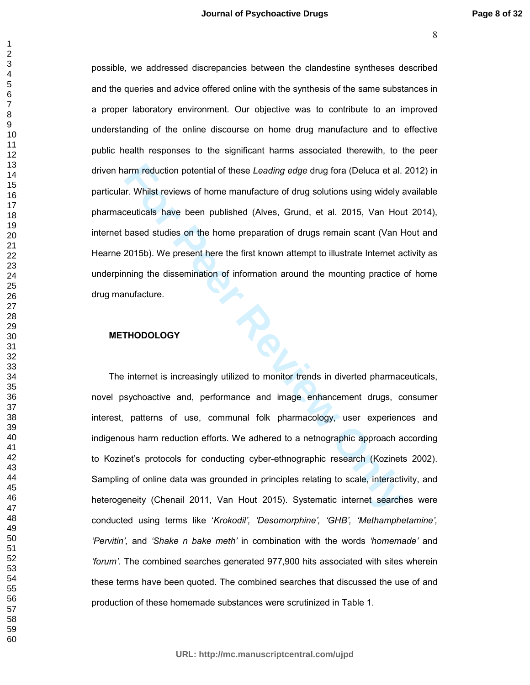possible, we addressed discrepancies between the clandestine syntheses described and the queries and advice offered online with the synthesis of the same substances in a proper laboratory environment. Our objective was to contribute to an improved understanding of the online discourse on home drug manufacture and to effective public health responses to the significant harms associated therewith, to the peer driven harm reduction potential of these *Leading edge* drug fora (Deluca et al. 2012) in particular. Whilst reviews of home manufacture of drug solutions using widely available pharmaceuticals have been published (Alves, Grund, et al. 2015, Van Hout 2014), internet based studies on the home preparation of drugs remain scant (Van Hout and Hearne 2015b). We present here the first known attempt to illustrate Internet activity as underpinning the dissemination of information around the mounting practice of home drug manufacture.

#### **METHODOLOGY**

arm reduction potential of these *Leading edge* drug fora (Deluca et al.<br>
I.r. Whilst reviews of home manufacture of drug solutions using widely a<br>
ceuticals have been published (Alves, Grund, et al. 2015, Van Hou<br>
based s The internet is increasingly utilized to monitor trends in diverted pharmaceuticals, novel psychoactive and, performance and image enhancement drugs, consumer interest, patterns of use, communal folk pharmacology, user experiences and indigenous harm reduction efforts. We adhered to a netnographic approach according to Kozinet's protocols for conducting cyber-ethnographic research (Kozinets 2002). Sampling of online data was grounded in principles relating to scale, interactivity, and heterogeneity (Chenail 2011, Van Hout 2015). Systematic internet searches were conducted using terms like '*Krokodil', 'Desomorphine', 'GHB', 'Methamphetamine', 'Pervitin',* and *'Shake n bake meth'* in combination with the words *'homemade'* and *'forum'*. The combined searches generated 977,900 hits associated with sites wherein these terms have been quoted. The combined searches that discussed the use of and production of these homemade substances were scrutinized in Table 1.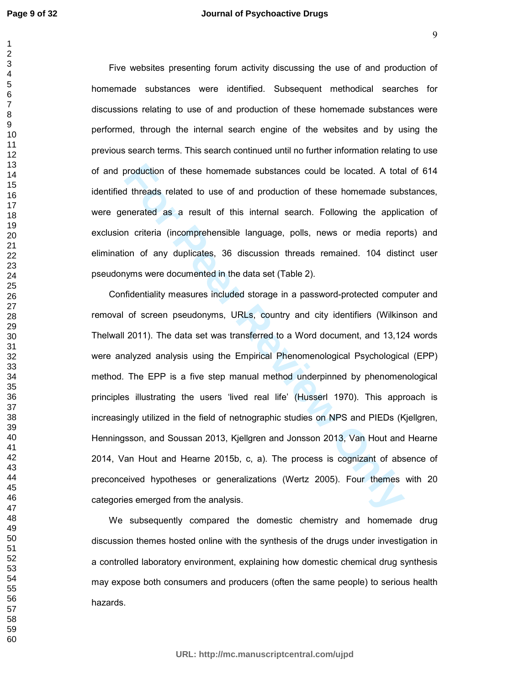Five websites presenting forum activity discussing the use of and production of homemade substances were identified. Subsequent methodical searches for discussions relating to use of and production of these homemade substances were performed, through the internal search engine of the websites and by using the previous search terms. This search continued until no further information relating to use of and production of these homemade substances could be located. A total of 614 identified threads related to use of and production of these homemade substances, were generated as a result of this internal search. Following the application of exclusion criteria (incomprehensible language, polls, news or media reports) and elimination of any duplicates, 36 discussion threads remained. 104 distinct user pseudonyms were documented in the data set (Table 2).

broaduction of these homernade substances could be located. A tota<br> **Hereads related to use of and production of these homernade sub-**<br> **Formally and and the standard Search.** Following the applic<br> **Formally and and the st** Confidentiality measures included storage in a password-protected computer and removal of screen pseudonyms, URLs, country and city identifiers (Wilkinson and Thelwall 2011). The data set was transferred to a Word document, and 13,124 words were analyzed analysis using the Empirical Phenomenological Psychological (EPP) method. The EPP is a five step manual method underpinned by phenomenological principles illustrating the users 'lived real life' (Husserl 1970). This approach is increasingly utilized in the field of netnographic studies on NPS and PIEDs (Kjellgren, Henningsson, and Soussan 2013, Kjellgren and Jonsson 2013, Van Hout and Hearne 2014, Van Hout and Hearne 2015b, c, a). The process is cognizant of absence of preconceived hypotheses or generalizations (Wertz 2005). Four themes with 20 categories emerged from the analysis.

We subsequently compared the domestic chemistry and homemade drug discussion themes hosted online with the synthesis of the drugs under investigation in a controlled laboratory environment, explaining how domestic chemical drug synthesis may expose both consumers and producers (often the same people) to serious health hazards.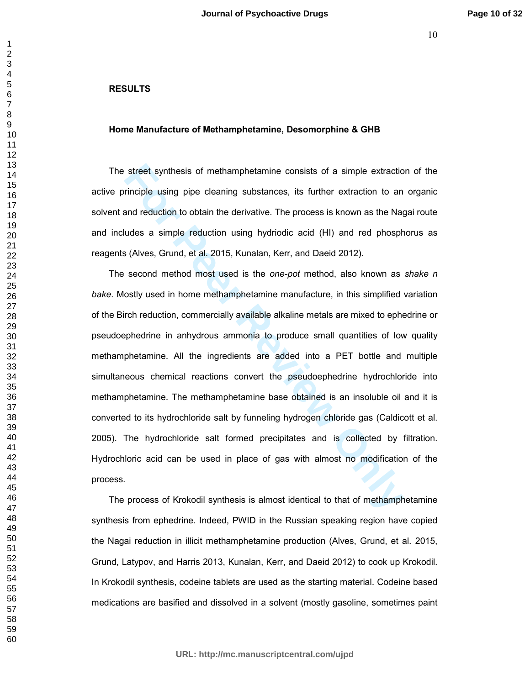## **RESULTS**

#### **Home Manufacture of Methamphetamine, Desomorphine & GHB**

The street synthesis of methamphetamine consists of a simple extraction of the active principle using pipe cleaning substances, its further extraction to an organic solvent and reduction to obtain the derivative. The process is known as the Nagai route and includes a simple reduction using hydriodic acid (HI) and red phosphorus as reagents (Alves, Grund, et al. 2015, Kunalan, Kerr, and Daeid 2012).

street synthesis of methamphetamine consists of a simple extraction<br>inciple using pipe cleaning substances, its further extraction to an<br>and reduction to obtain the derivative. The process is known as the Nag<br>udes a simple The second method most used is the *one-pot* method, also known as *shake n bake*. Mostly used in home methamphetamine manufacture, in this simplified variation of the Birch reduction, commercially available alkaline metals are mixed to ephedrine or pseudoephedrine in anhydrous ammonia to produce small quantities of low quality methamphetamine. All the ingredients are added into a PET bottle and multiple simultaneous chemical reactions convert the pseudoephedrine hydrochloride into methamphetamine. The methamphetamine base obtained is an insoluble oil and it is converted to its hydrochloride salt by funneling hydrogen chloride gas (Caldicott et al. 2005). The hydrochloride salt formed precipitates and is collected by filtration. Hydrochloric acid can be used in place of gas with almost no modification of the process.

The process of Krokodil synthesis is almost identical to that of methamphetamine synthesis from ephedrine. Indeed, PWID in the Russian speaking region have copied the Nagai reduction in illicit methamphetamine production (Alves, Grund, et al. 2015, Grund, Latypov, and Harris 2013, Kunalan, Kerr, and Daeid 2012) to cook up Krokodil. In Krokodil synthesis, codeine tablets are used as the starting material. Codeine based medications are basified and dissolved in a solvent (mostly gasoline, sometimes paint

**URL: http://mc.manuscriptcentral.com/ujpd**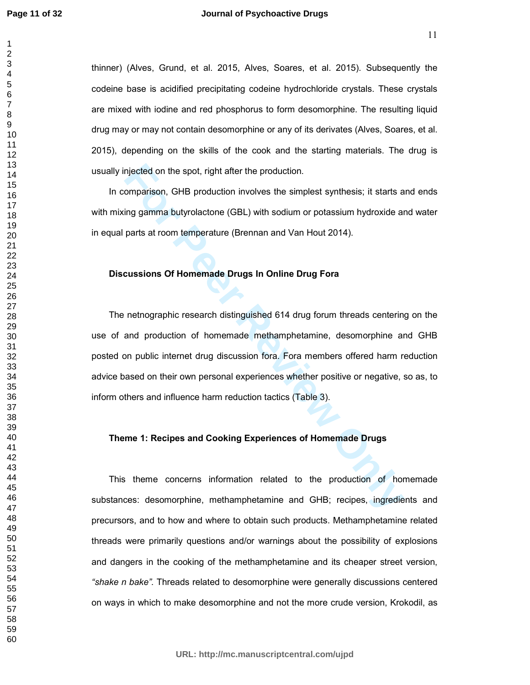thinner) (Alves, Grund, et al. 2015, Alves, Soares, et al. 2015). Subsequently the codeine base is acidified precipitating codeine hydrochloride crystals. These crystals are mixed with iodine and red phosphorus to form desomorphine. The resulting liquid drug may or may not contain desomorphine or any of its derivates (Alves, Soares, et al. 2015), depending on the skills of the cook and the starting materials. The drug is usually injected on the spot, right after the production.

In comparison, GHB production involves the simplest synthesis; it starts and ends with mixing gamma butyrolactone (GBL) with sodium or potassium hydroxide and water in equal parts at room temperature (Brennan and Van Hout 2014).

#### **Discussions Of Homemade Drugs In Online Drug Fora**

miected on the spot, right after the production.<br>
comparison, GHB production involves the simplest synthesis; it starts a<br>
ing gamma butyrolactone (GBL) with sodium or potassium hydroxide at<br>
parts at room temperature (Bre The netnographic research distinguished 614 drug forum threads centering on the use of and production of homemade methamphetamine, desomorphine and GHB posted on public internet drug discussion fora. Fora members offered harm reduction advice based on their own personal experiences whether positive or negative, so as, to inform others and influence harm reduction tactics (Table 3).

### **Theme 1: Recipes and Cooking Experiences of Homemade Drugs**

This theme concerns information related to the production of homemade substances: desomorphine, methamphetamine and GHB; recipes, ingredients and precursors, and to how and where to obtain such products. Methamphetamine related threads were primarily questions and/or warnings about the possibility of explosions and dangers in the cooking of the methamphetamine and its cheaper street version, *"shake n bake".* Threads related to desomorphine were generally discussions centered on ways in which to make desomorphine and not the more crude version, Krokodil, as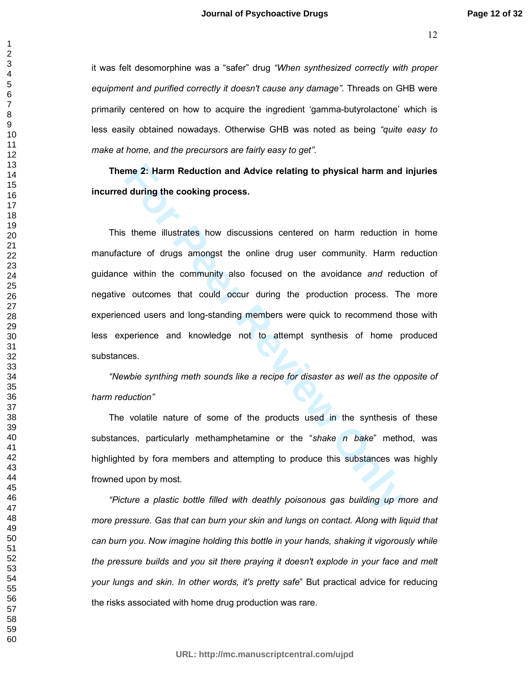it was felt desomorphine was a "safer" drug *"When synthesized correctly with proper equipment and purified correctly it doesn't cause any damage"*. Threads on GHB were primarily centered on how to acquire the ingredient 'gamma-butyrolactone' which is less easily obtained nowadays. Otherwise GHB was noted as being *"quite easy to make at home, and the precursors are fairly easy to get"*.

**Theme 2: Harm Reduction and Advice relating to physical harm and injuries incurred during the cooking process.** 

**From Reduction and Advice relating to physical harm and during the cooking process.**<br> **Solution** the cooking process.<br> **For Peer To Example Systems** is the online drug user community. Harm relation is<br> **For Peer Systems** This theme illustrates how discussions centered on harm reduction in home manufacture of drugs amongst the online drug user community. Harm reduction guidance within the community also focused on the avoidance *and* reduction of negative outcomes that could occur during the production process. The more experienced users and long-standing members were quick to recommend those with less experience and knowledge not to attempt synthesis of home produced substances.

*"Newbie synthing meth sounds like a recipe for disaster as well as the opposite of harm reduction"* 

The volatile nature of some of the products used in the synthesis of these substances, particularly methamphetamine or the "*shake n bake*" method, was highlighted by fora members and attempting to produce this substances was highly frowned upon by most.

*"Picture a plastic bottle filled with deathly poisonous gas building up more and more pressure. Gas that can burn your skin and lungs on contact. Along with liquid that can burn you. Now imagine holding this bottle in your hands, shaking it vigorously while the pressure builds and you sit there praying it doesn't explode in your face and melt your lungs and skin. In other words, it's pretty safe*" But practical advice for reducing the risks associated with home drug production was rare.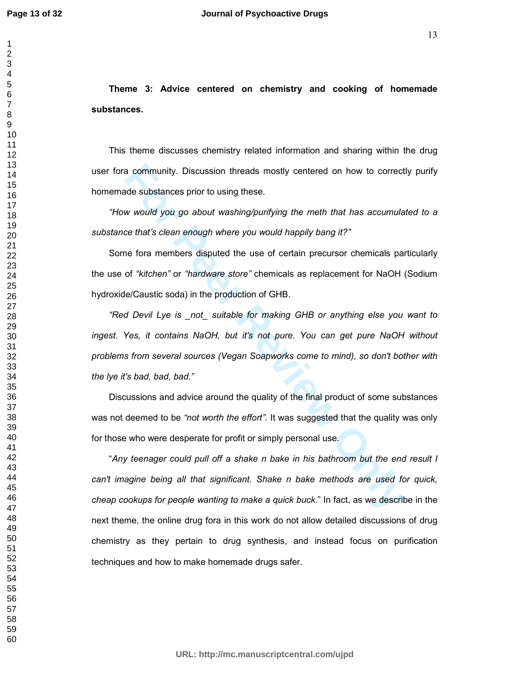**Theme 3: Advice centered on chemistry and cooking of homemade substances.** 

This theme discusses chemistry related information and sharing within the drug user fora community. Discussion threads mostly centered on how to correctly purify homemade substances prior to using these.

*"How would you go about washing/purifying the meth that has accumulated to a substance that's clean enough where you would happily bang it?"* 

Some fora members disputed the use of certain precursor chemicals particularly the use of *"kitchen"* or *"hardware store"* chemicals as replacement for NaOH (Sodium hydroxide/Caustic soda) in the production of GHB.

a community. Discussion threads mostly centered on how to correct<br>de substances prior to using these.<br>We would you go about washing/purifying the meth that has accumula<br>ce that's clean enough where you would happily bang i *"Red Devil Lye is \_not\_ suitable for making GHB or anything else you want to ingest. Yes, it contains NaOH, but it's not pure. You can get pure NaOH without problems from several sources (Vegan Soapworks come to mind), so don't bother with the lye it's bad, bad, bad."* 

Discussions and advice around the quality of the final product of some substances was not deemed to be *"not worth the effort".* It was suggested that the quality was only for those who were desperate for profit or simply personal use.

"*Any teenager could pull off a shake n bake in his bathroom but the end result I can't imagine being all that significant. Shake n bake methods are used for quick, cheap cookups for people wanting to make a quick buck*." In fact, as we describe in the next theme, the online drug fora in this work do not allow detailed discussions of drug chemistry as they pertain to drug synthesis, and instead focus on purification techniques and how to make homemade drugs safer.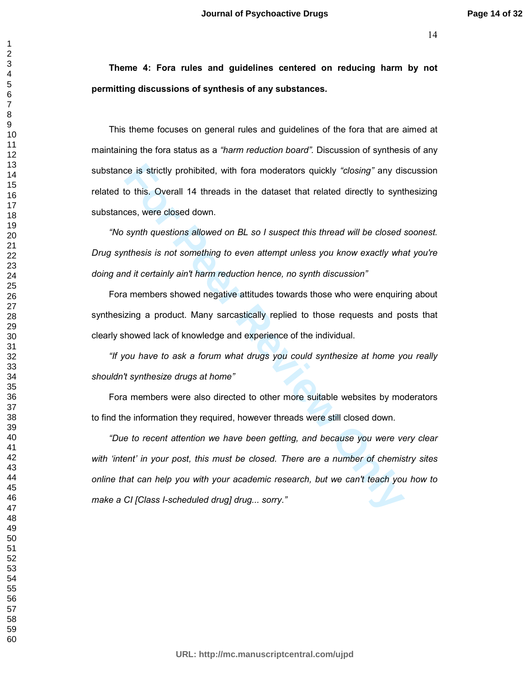**Theme 4: Fora rules and guidelines centered on reducing harm by not permitting discussions of synthesis of any substances.** 

This theme focuses on general rules and guidelines of the fora that are aimed at maintaining the fora status as a *"harm reduction board".* Discussion of synthesis of any substance is strictly prohibited, with fora moderators quickly *"closing"* any discussion related to this. Overall 14 threads in the dataset that related directly to synthesizing substances, were closed down.

*"No synth questions allowed on BL so I suspect this thread will be closed soonest. Drug synthesis is not something to even attempt unless you know exactly what you're doing and it certainly ain't harm reduction hence, no synth discussion"* 

Fora members showed negative attitudes towards those who were enquiring about synthesizing a product. Many sarcastically replied to those requests and posts that clearly showed lack of knowledge and experience of the individual.

*"If you have to ask a forum what drugs you could synthesize at home you really shouldn't synthesize drugs at home"* 

Fora members were also directed to other more suitable websites by moderators to find the information they required, however threads were still closed down.

ce is strictly prohibited, with fora moderators quickly "closing" any dis<br>to this. Overall 14 threads in the dataset that related directly to synt<br>ces, were closed down.<br>synth questions allowed on BL so I suspect this thre *"Due to recent attention we have been getting, and because you were very clear with 'intent' in your post, this must be closed. There are a number of chemistry sites online that can help you with your academic research, but we can't teach you how to make a CI [Class I-scheduled drug] drug... sorry."*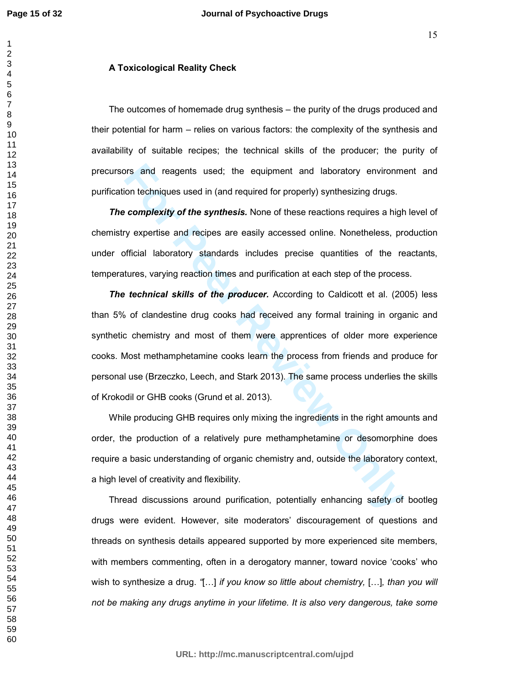#### **A Toxicological Reality Check**

The outcomes of homemade drug synthesis – the purity of the drugs produced and their potential for harm – relies on various factors: the complexity of the synthesis and availability of suitable recipes; the technical skills of the producer; the purity of precursors and reagents used; the equipment and laboratory environment and purification techniques used in (and required for properly) synthesizing drugs.

*The complexity of the synthesis.* None of these reactions requires a high level of chemistry expertise and recipes are easily accessed online. Nonetheless, production under official laboratory standards includes precise quantities of the reactants, temperatures, varying reaction times and purification at each step of the process.

by a mal reagents used; the equipment and laboratory environment contechniques used in (and required for properly) synthesizing drugs.<br> **Complexity of the synthesis.** None of these reactions requires a highty expertise and *The technical skills of the producer.* According to Caldicott et al. (2005) less than 5% of clandestine drug cooks had received any formal training in organic and synthetic chemistry and most of them were apprentices of older more experience cooks. Most methamphetamine cooks learn the process from friends and produce for personal use (Brzeczko, Leech, and Stark 2013). The same process underlies the skills of Krokodil or GHB cooks (Grund et al. 2013).

While producing GHB requires only mixing the ingredients in the right amounts and order, the production of a relatively pure methamphetamine or desomorphine does require a basic understanding of organic chemistry and, outside the laboratory context, a high level of creativity and flexibility.

Thread discussions around purification, potentially enhancing safety of bootleg drugs were evident. However, site moderators' discouragement of questions and threads on synthesis details appeared supported by more experienced site members, with members commenting, often in a derogatory manner, toward novice 'cooks' who wish to synthesize a drug. *"*[...] *if you know so little about chemistry,* [...], *than you will not be making any drugs anytime in your lifetime. It is also very dangerous, take some*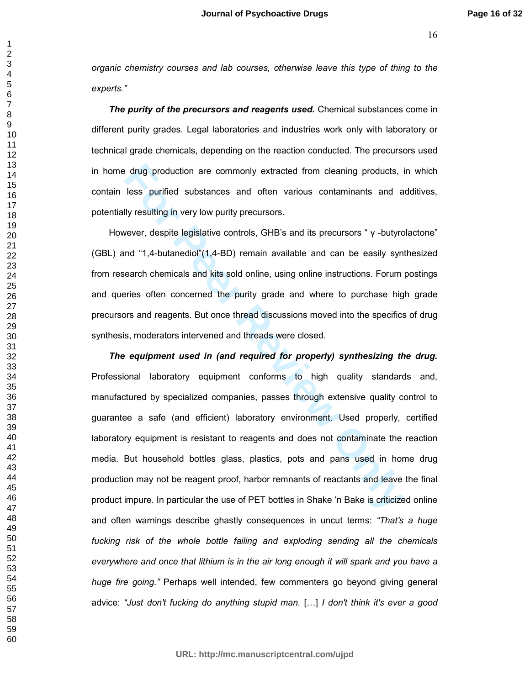*organic chemistry courses and lab courses, otherwise leave this type of thing to the experts."*

*The purity of the precursors and reagents used.* Chemical substances come in different purity grades. Legal laboratories and industries work only with laboratory or technical grade chemicals, depending on the reaction conducted. The precursors used in home drug production are commonly extracted from cleaning products, in which contain less purified substances and often various contaminants and additives, potentially resulting in very low purity precursors.

However, despite legislative controls, GHB's and its precursors " γ -butyrolactone" (GBL) and "1,4-butanediol"(1,4-BD) remain available and can be easily synthesized from research chemicals and kits sold online, using online instructions. Forum postings and queries often concerned the purity grade and where to purchase high grade precursors and reagents. But once thread discussions moved into the specifics of drug synthesis, moderators intervened and threads were closed.

or educy production are commonly extracted from cleaning products, i<br>less purified substances and often various contaminants and a<br>lly resulting in very low purity precursors.<br>wever, despite legislative controls, GHB's an *The equipment used in (and required for properly) synthesizing the drug.*  Professional laboratory equipment conforms to high quality standards and, manufactured by specialized companies, passes through extensive quality control to guarantee a safe (and efficient) laboratory environment. Used properly, certified laboratory equipment is resistant to reagents and does not contaminate the reaction media. But household bottles glass, plastics, pots and pans used in home drug production may not be reagent proof, harbor remnants of reactants and leave the final product impure. In particular the use of PET bottles in Shake 'n Bake is criticized online and often warnings describe ghastly consequences in uncut terms: *"That's a huge fucking risk of the whole bottle failing and exploding sending all the chemicals everywhere and once that lithium is in the air long enough it will spark and you have a huge fire going."* Perhaps well intended, few commenters go beyond giving general advice: *"Just don't fucking do anything stupid man.* [...] *I don't think it's ever a good*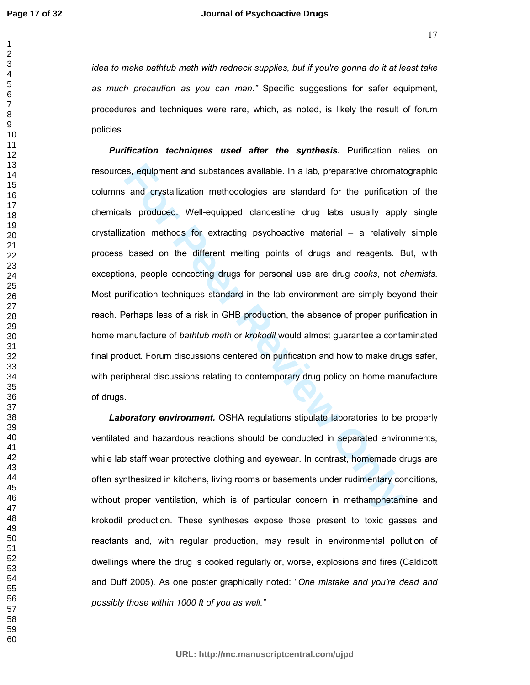*idea to make bathtub meth with redneck supplies, but if you're gonna do it at least take as much precaution as you can man."* Specific suggestions for safer equipment, procedures and techniques were rare, which, as noted, is likely the result of forum policies.

For equipment and substances available. In a lab, preparative chromate and crystallization methodologies are standard for the purification is produced. Well-equipped clandestine drug labs usually apply ation methods for ex *Purification techniques used after the synthesis.* **Purification relies on** resources, equipment and substances available. In a lab, preparative chromatographic columns and crystallization methodologies are standard for the purification of the chemicals produced. Well-equipped clandestine drug labs usually apply single crystallization methods for extracting psychoactive material – a relatively simple process based on the different melting points of drugs and reagents. But, with exceptions, people concocting drugs for personal use are drug *cooks*, not *chemists*. Most purification techniques standard in the lab environment are simply beyond their reach. Perhaps less of a risk in GHB production, the absence of proper purification in home manufacture of *bathtub meth* or *krokodil* would almost guarantee a contaminated final product. Forum discussions centered on purification and how to make drugs safer, with peripheral discussions relating to contemporary drug policy on home manufacture of drugs.

*Laboratory environment.* OSHA regulations stipulate laboratories to be properly ventilated and hazardous reactions should be conducted in separated environments, while lab staff wear protective clothing and eyewear. In contrast, homemade drugs are often synthesized in kitchens, living rooms or basements under rudimentary conditions, without proper ventilation, which is of particular concern in methamphetamine and krokodil production. These syntheses expose those present to toxic gasses and reactants and, with regular production, may result in environmental pollution of dwellings where the drug is cooked regularly or, worse, explosions and fires (Caldicott and Duff 2005). As one poster graphically noted: "*One mistake and you're dead and possibly those within 1000 ft of you as well."*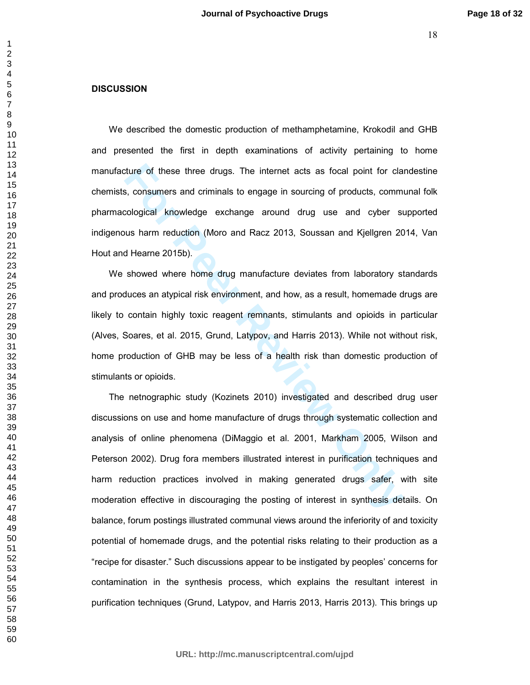## **DISCUSSION**

We described the domestic production of methamphetamine, Krokodil and GHB and presented the first in depth examinations of activity pertaining to home manufacture of these three drugs. The internet acts as focal point for clandestine chemists, consumers and criminals to engage in sourcing of products, communal folk pharmacological knowledge exchange around drug use and cyber supported indigenous harm reduction (Moro and Racz 2013, Soussan and Kjellgren 2014, Van Hout and Hearne 2015b).

We showed where home drug manufacture deviates from laboratory standards and produces an atypical risk environment, and how, as a result, homemade drugs are likely to contain highly toxic reagent remnants, stimulants and opioids in particular (Alves, Soares, et al. 2015, Grund, Latypov, and Harris 2013). While not without risk, home production of GHB may be less of a health risk than domestic production of stimulants or opioids.

ture of these three drugs. The internet acts as focal point for clare, as, consumers and criminals to engage in sourcing of products, commicological knowledge exchange around drug use and cyber states harm reduction (Moro The netnographic study (Kozinets 2010) investigated and described drug user discussions on use and home manufacture of drugs through systematic collection and analysis of online phenomena (DiMaggio et al. 2001, Markham 2005, Wilson and Peterson 2002). Drug fora members illustrated interest in purification techniques and harm reduction practices involved in making generated drugs safer, with site moderation effective in discouraging the posting of interest in synthesis details. On balance, forum postings illustrated communal views around the inferiority of and toxicity potential of homemade drugs, and the potential risks relating to their production as a "recipe for disaster." Such discussions appear to be instigated by peoples' concerns for contamination in the synthesis process, which explains the resultant interest in purification techniques (Grund, Latypov, and Harris 2013, Harris 2013). This brings up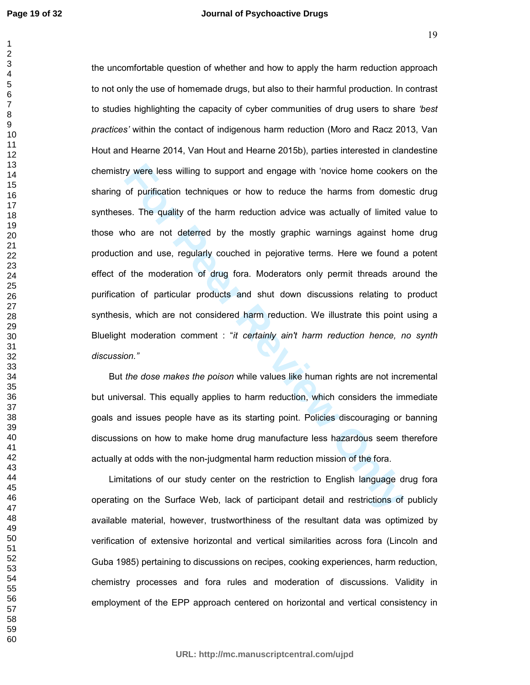by were less willing to support and engage with 'novice home cookers<br>of purification techniques or how to reduce the harms from domes<br>es. The quality of the harm reduction advice was actually of limited<br>tho are not deterre the uncomfortable question of whether and how to apply the harm reduction approach to not only the use of homemade drugs, but also to their harmful production. In contrast to studies highlighting the capacity of cyber communities of drug users to share *'best practices'* within the contact of indigenous harm reduction (Moro and Racz 2013, Van Hout and Hearne 2014, Van Hout and Hearne 2015b), parties interested in clandestine chemistry were less willing to support and engage with 'novice home cookers on the sharing of purification techniques or how to reduce the harms from domestic drug syntheses. The quality of the harm reduction advice was actually of limited value to those who are not deterred by the mostly graphic warnings against home drug production and use, regularly couched in pejorative terms. Here we found a potent effect of the moderation of drug fora. Moderators only permit threads around the purification of particular products and shut down discussions relating to product synthesis, which are not considered harm reduction. We illustrate this point using a Bluelight moderation comment : "*it certainly ain't harm reduction hence, no synth discussion."*

But *the dose makes the poison* while values like human rights are not incremental but universal. This equally applies to harm reduction, which considers the immediate goals and issues people have as its starting point. Policies discouraging or banning discussions on how to make home drug manufacture less hazardous seem therefore actually at odds with the non-judgmental harm reduction mission of the fora.

Limitations of our study center on the restriction to English language drug fora operating on the Surface Web, lack of participant detail and restrictions of publicly available material, however, trustworthiness of the resultant data was optimized by verification of extensive horizontal and vertical similarities across fora (Lincoln and Guba 1985) pertaining to discussions on recipes, cooking experiences, harm reduction, chemistry processes and fora rules and moderation of discussions. Validity in employment of the EPP approach centered on horizontal and vertical consistency in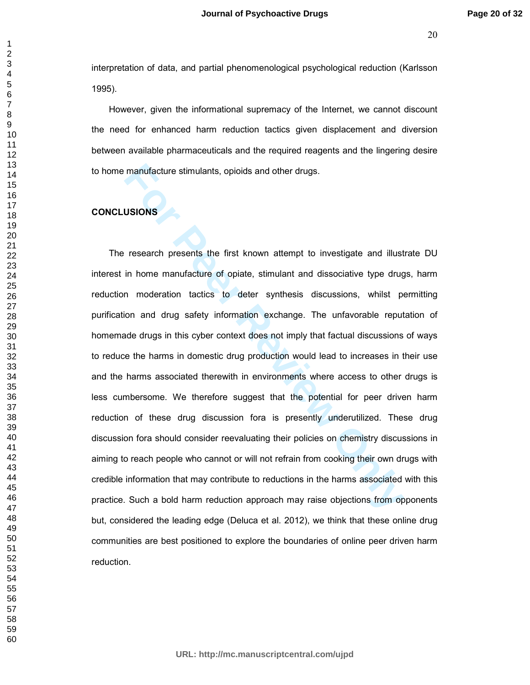interpretation of data, and partial phenomenological psychological reduction (Karlsson 1995).

However, given the informational supremacy of the Internet, we cannot discount the need for enhanced harm reduction tactics given displacement and diversion between available pharmaceuticals and the required reagents and the lingering desire to home manufacture stimulants, opioids and other drugs.

# **CONCLUSIONS**

manufacture stimulants, opioids and other drugs.<br> **Forecastical Exercise Standard Exercise Standard Exercise Standard III and Exercise and III and<br>
In home manufacture of opiate, stimulant and dissociative type drug<br>
In mo** The research presents the first known attempt to investigate and illustrate DU interest in home manufacture of opiate, stimulant and dissociative type drugs, harm reduction moderation tactics to deter synthesis discussions, whilst permitting purification and drug safety information exchange. The unfavorable reputation of homemade drugs in this cyber context does not imply that factual discussions of ways to reduce the harms in domestic drug production would lead to increases in their use and the harms associated therewith in environments where access to other drugs is less cumbersome. We therefore suggest that the potential for peer driven harm reduction of these drug discussion fora is presently underutilized. These drug discussion fora should consider reevaluating their policies on chemistry discussions in aiming to reach people who cannot or will not refrain from cooking their own drugs with credible information that may contribute to reductions in the harms associated with this practice. Such a bold harm reduction approach may raise objections from opponents but, considered the leading edge (Deluca et al. 2012), we think that these online drug communities are best positioned to explore the boundaries of online peer driven harm reduction.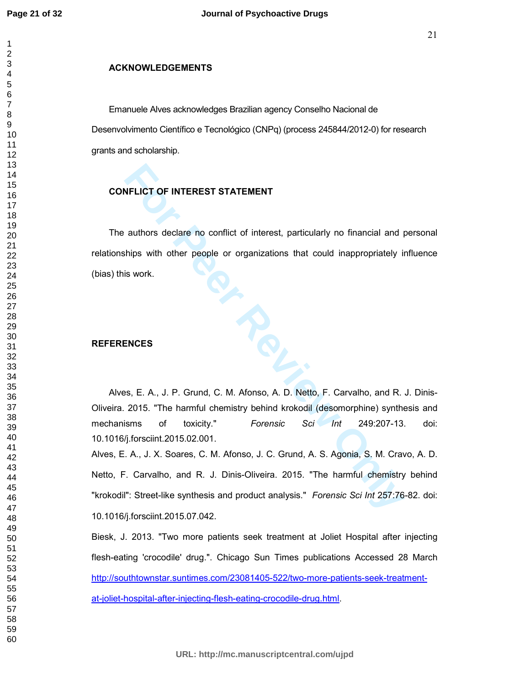## **ACKNOWLEDGEMENTS**

Emanuele Alves acknowledges Brazilian agency Conselho Nacional de Desenvolvimento Científico e Tecnológico (CNPq) (process 245844/2012-0) for research grants and scholarship.

## **CONFLICT OF INTEREST STATEMENT**

The authors declare no conflict of interest, particularly no financial and personal relationships with other people or organizations that could inappropriately influence (bias) this work.

## **REFERENCES**

Alves, E. A., J. P. Grund, C. M. Afonso, A. D. Netto, F. Carvalho, and R. J. Dinis-Oliveira. 2015. "The harmful chemistry behind krokodil (desomorphine) synthesis and mechanisms of toxicity." *Forensic Sci Int* 249:207-13. doi: 10.1016/j.forsciint.2015.02.001.

**FILICT OF INTEREST STATEMENT**<br>
authors declare no conflict of interest, particularly no financial and p<br>
intings with other people or organizations that could inappropriately in<br>
is work.<br> **ENCES**<br> **ENCES**<br> **FORES**<br> **FORE** Alves, E. A., J. X. Soares, C. M. Afonso, J. C. Grund, A. S. Agonia, S. M. Cravo, A. D. Netto, F. Carvalho, and R. J. Dinis-Oliveira. 2015. "The harmful chemistry behind "krokodil": Street-like synthesis and product analysis." *Forensic Sci Int* 257:76-82. doi: 10.1016/j.forsciint.2015.07.042.

Biesk, J. 2013. "Two more patients seek treatment at Joliet Hospital after injecting flesh-eating 'crocodile' drug.". Chicago Sun Times publications Accessed 28 March http://southtownstar.suntimes.com/23081405-522/two-more-patients-seek-treatmentat-joliet-hospital-after-injecting-flesh-eating-crocodile-drug.html.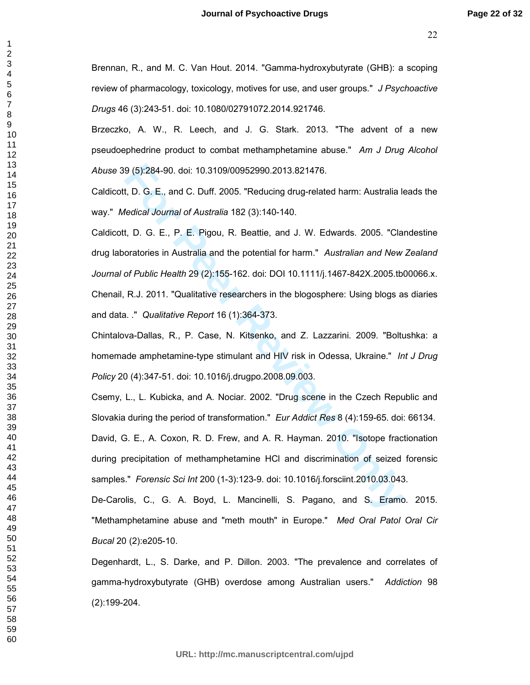Brennan, R., and M. C. Van Hout. 2014. "Gamma-hydroxybutyrate (GHB): a scoping review of pharmacology, toxicology, motives for use, and user groups." *J Psychoactive Drugs* 46 (3):243-51. doi: 10.1080/02791072.2014.921746.

Brzeczko, A. W., R. Leech, and J. G. Stark. 2013. "The advent of a new pseudoephedrine product to combat methamphetamine abuse." *Am J Drug Alcohol Abuse* 39 (5):284-90. doi: 10.3109/00952990.2013.821476.

Caldicott, D. G. E., and C. Duff. 2005. "Reducing drug-related harm: Australia leads the way." *Medical Journal of Australia* 182 (3):140-140.

9 (5):284-90. doi: 10.3109/00952990.2013.821476.<br> **t**, D. G. E., and C. Duff. 2005. "Reducing drug-related harm: Australia le<br> *tedical Journal of Australia* 182 (3):140-140.<br> **t**, D. G. E., P. E. Pigou, R. Beattie, and J. Caldicott, D. G. E., P. E. Pigou, R. Beattie, and J. W. Edwards. 2005. "Clandestine drug laboratories in Australia and the potential for harm." *Australian and New Zealand Journal of Public Health* 29 (2):155-162. doi: DOI 10.1111/j.1467-842X.2005.tb00066.x. Chenail, R.J. 2011. "Qualitative researchers in the blogosphere: Using blogs as diaries and data. ." *Qualitative Report* 16 (1):364-373.

Chintalova-Dallas, R., P. Case, N. Kitsenko, and Z. Lazzarini. 2009. "Boltushka: a homemade amphetamine-type stimulant and HIV risk in Odessa, Ukraine." *Int J Drug Policy* 20 (4):347-51. doi: 10.1016/j.drugpo.2008.09.003.

Csemy, L., L. Kubicka, and A. Nociar. 2002. "Drug scene in the Czech Republic and Slovakia during the period of transformation." *Eur Addict Res* 8 (4):159-65. doi: 66134. David, G. E., A. Coxon, R. D. Frew, and A. R. Hayman. 2010. "Isotope fractionation during precipitation of methamphetamine HCl and discrimination of seized forensic

samples." *Forensic Sci Int* 200 (1-3):123-9. doi: 10.1016/j.forsciint.2010.03.043.

De-Carolis, C., G. A. Boyd, L. Mancinelli, S. Pagano, and S. Eramo. 2015. "Methamphetamine abuse and "meth mouth" in Europe." *Med Oral Patol Oral Cir Bucal* 20 (2):e205-10.

Degenhardt, L., S. Darke, and P. Dillon. 2003. "The prevalence and correlates of gamma-hydroxybutyrate (GHB) overdose among Australian users." *Addiction* 98 (2):199-204.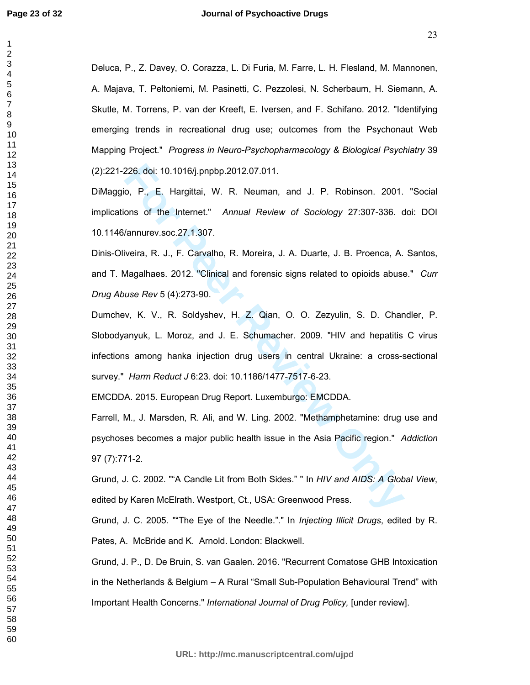Deluca, P., Z. Davey, O. Corazza, L. Di Furia, M. Farre, L. H. Flesland, M. Mannonen, A. Majava, T. Peltoniemi, M. Pasinetti, C. Pezzolesi, N. Scherbaum, H. Siemann, A. Skutle, M. Torrens, P. van der Kreeft, E. Iversen, and F. Schifano. 2012. "Identifying emerging trends in recreational drug use; outcomes from the Psychonaut Web Mapping Project." *Progress in Neuro-Psychopharmacology & Biological Psychiatry* 39 (2):221-226. doi: 10.1016/j.pnpbp.2012.07.011.

DiMaggio, P., E. Hargittai, W. R. Neuman, and J. P. Robinson. 2001. "Social implications of the Internet." *Annual Review of Sociology* 27:307-336. doi: DOI 10.1146/annurev.soc.27.1.307.

Dinis-Oliveira, R. J., F. Carvalho, R. Moreira, J. A. Duarte, J. B. Proenca, A. Santos, and T. Magalhaes. 2012. "Clinical and forensic signs related to opioids abuse." *Curr Drug Abuse Rev* 5 (4):273-90.

226. doi: 10.1016/j.pmpbp.2012.07.011.<br> **For Peer Review of Sociology** 27:307-336. compared the Internet." Annual Review of Sociology 27:307-336. compared the Internet." Annual Review of Sociology 27:307-336. compared the Dumchev, K. V., R. Soldyshev, H. Z. Qian, O. O. Zezyulin, S. D. Chandler, P. Slobodyanyuk, L. Moroz, and J. E. Schumacher. 2009. "HIV and hepatitis C virus infections among hanka injection drug users in central Ukraine: a cross-sectional survey." *Harm Reduct J* 6:23. doi: 10.1186/1477-7517-6-23.

EMCDDA. 2015. European Drug Report. Luxemburgo: EMCDDA.

Farrell, M., J. Marsden, R. Ali, and W. Ling. 2002. "Methamphetamine: drug use and psychoses becomes a major public health issue in the Asia Pacific region." *Addiction* 97 (7):771-2.

Grund, J. C. 2002. ""A Candle Lit from Both Sides." " In *HIV and AIDS: A Global View*, edited by Karen McElrath. Westport, Ct., USA: Greenwood Press.

Grund, J. C. 2005. ""The Eye of the Needle."." In *Injecting Illicit Drugs*, edited by R. Pates, A. McBride and K. Arnold. London: Blackwell.

Grund, J. P., D. De Bruin, S. van Gaalen. 2016. "Recurrent Comatose GHB Intoxication in the Netherlands & Belgium – A Rural "Small Sub-Population Behavioural Trend" with Important Health Concerns." *International Journal of Drug Policy,* [under review].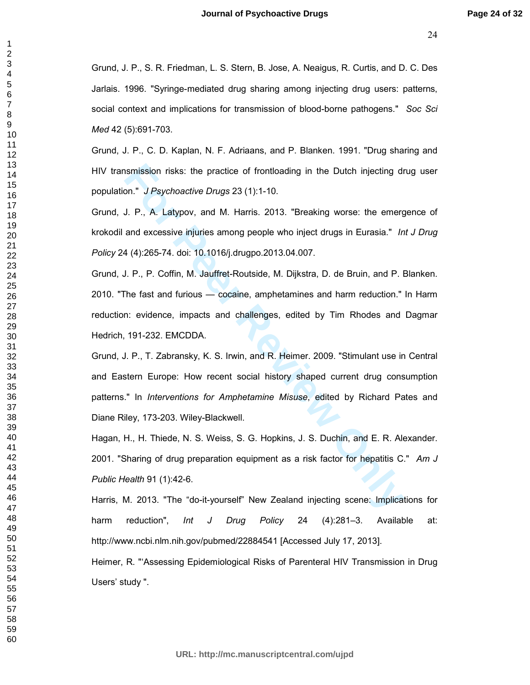Grund, J. P., S. R. Friedman, L. S. Stern, B. Jose, A. Neaigus, R. Curtis, and D. C. Des Jarlais. 1996. "Syringe-mediated drug sharing among injecting drug users: patterns, social context and implications for transmission of blood-borne pathogens." *Soc Sci Med* 42 (5):691-703.

Grund, J. P., C. D. Kaplan, N. F. Adriaans, and P. Blanken. 1991. "Drug sharing and HIV transmission risks: the practice of frontloading in the Dutch injecting drug user population." *J Psychoactive Drugs* 23 (1):1-10.

Grund, J. P., A. Latypov, and M. Harris. 2013. "Breaking worse: the emergence of krokodil and excessive injuries among people who inject drugs in Eurasia." *Int J Drug Policy* 24 (4):265-74. doi: 10.1016/j.drugpo.2013.04.007.

Grund, J. P., P. Coffin, M. Jauffret-Routside, M. Dijkstra, D. de Bruin, and P. Blanken. 2010. "The fast and furious — cocaine, amphetamines and harm reduction." In Harm reduction: evidence, impacts and challenges, edited by Tim Rhodes and Dagmar Hedrich, 191-232. EMCDDA.

**Example 10** Sympartic of frontloading in the Dutch injecting dramation on." *J Psychoactive Drugs* 23 (1):1-10.<br>
J. P., A. Latypov, and M. Harris. 2013. "Breaking worse: the emergent and excessive injuries among people wh Grund, J. P., T. Zabransky, K. S. Irwin, and R. Heimer. 2009. "Stimulant use in Central and Eastern Europe: How recent social history shaped current drug consumption patterns." In *Interventions for Amphetamine Misuse*, edited by Richard Pates and Diane Riley, 173-203. Wiley-Blackwell.

Hagan, H., H. Thiede, N. S. Weiss, S. G. Hopkins, J. S. Duchin, and E. R. Alexander. 2001. "Sharing of drug preparation equipment as a risk factor for hepatitis C." *Am J Public Health* 91 (1):42-6.

Harris, M. 2013. "The "do-it-yourself" New Zealand injecting scene: Implications for harm reduction", *Int J Drug Policy* 24 (4):281–3. Available at: http://www.ncbi.nlm.nih.gov/pubmed/22884541 [Accessed July 17, 2013].

Heimer, R. "'Assessing Epidemiological Risks of Parenteral HIV Transmission in Drug Users' study ".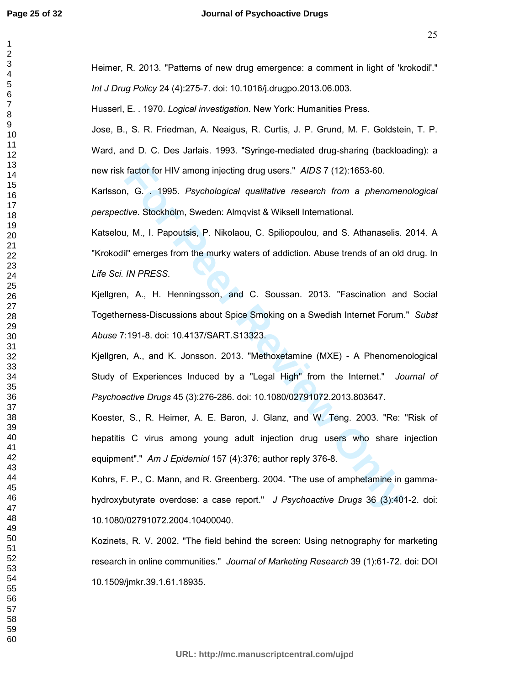factor for HIV among injecting drug users." *AIDS* 7 (12):1653-60.<br>
1, G. . 1995. *Psychological qualitative research from a phenomer*<br> *Five.* Stockholm, Sweden: Almqvist & Wiksell International.<br>
1, M., I. Papoutsis, P. Heimer, R. 2013. "Patterns of new drug emergence: a comment in light of 'krokodil'." *Int J Drug Policy* 24 (4):275-7. doi: 10.1016/j.drugpo.2013.06.003. Husserl, E. . 1970. *Logical investigation*. New York: Humanities Press. Jose, B., S. R. Friedman, A. Neaigus, R. Curtis, J. P. Grund, M. F. Goldstein, T. P. Ward, and D. C. Des Jarlais. 1993. "Syringe-mediated drug-sharing (backloading): a new risk factor for HIV among injecting drug users." *AIDS* 7 (12):1653-60. Karlsson, G. . 1995. *Psychological qualitative research from a phenomenological perspective*. Stockholm, Sweden: Almqvist & Wiksell International. Katselou, M., I. Papoutsis, P. Nikolaou, C. Spiliopoulou, and S. Athanaselis. 2014. A "Krokodil" emerges from the murky waters of addiction. Abuse trends of an old drug. In *Life Sci. IN PRESS.*  Kjellgren, A., H. Henningsson, and C. Soussan. 2013. "Fascination and Social Togetherness-Discussions about Spice Smoking on a Swedish Internet Forum." *Subst Abuse* 7:191-8. doi: 10.4137/SART.S13323. Kjellgren, A., and K. Jonsson. 2013. "Methoxetamine (MXE) - A Phenomenological Study of Experiences Induced by a "Legal High" from the Internet." *Journal of Psychoactive Drugs* 45 (3):276-286. doi: 10.1080/02791072.2013.803647. Koester, S., R. Heimer, A. E. Baron, J. Glanz, and W. Teng. 2003. "Re: "Risk of hepatitis C virus among young adult injection drug users who share injection equipment"." *Am J Epidemiol* 157 (4):376; author reply 376-8. Kohrs, F. P., C. Mann, and R. Greenberg. 2004. "The use of amphetamine in gammahydroxybutyrate overdose: a case report." *J Psychoactive Drugs* 36 (3):401-2. doi: 10.1080/02791072.2004.10400040. Kozinets, R. V. 2002. "The field behind the screen: Using netnography for marketing research in online communities." *Journal of Marketing Research* 39 (1):61-72. doi: DOI

10.1509/jmkr.39.1.61.18935.

**URL: http://mc.manuscriptcentral.com/ujpd**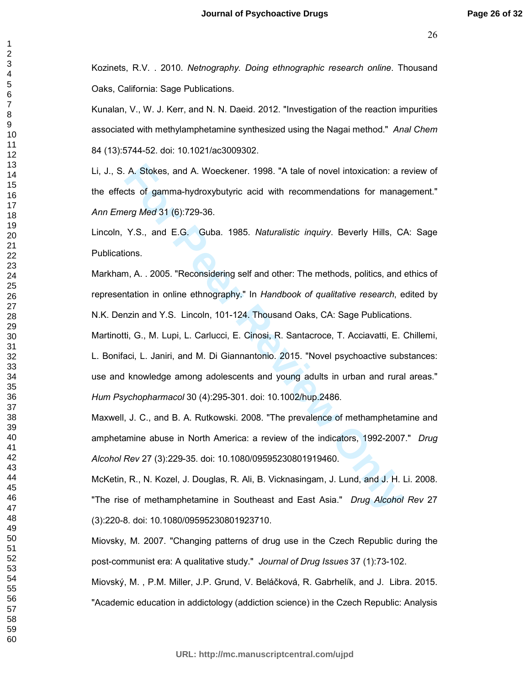Kozinets, R.V. . 2010. *Netnography. Doing ethnographic research online*. Thousand Oaks, California: Sage Publications.

Kunalan, V., W. J. Kerr, and N. N. Daeid. 2012. "Investigation of the reaction impurities associated with methylamphetamine synthesized using the Nagai method." *Anal Chem* 84 (13):5744-52. doi: 10.1021/ac3009302.

Li, J., S. A. Stokes, and A. Woeckener. 1998. "A tale of novel intoxication: a review of the effects of gamma-hydroxybutyric acid with recommendations for management." *Ann Emerg Med* 31 (6):729-36.

Lincoln, Y.S., and E.G. Guba. 1985. *Naturalistic inquiry*. Beverly Hills, CA: Sage Publications.

Markham, A. . 2005. "Reconsidering self and other: The methods, politics, and ethics of representation in online ethnography." In *Handbook of qualitative research*, edited by N.K. Denzin and Y.S. Lincoln, 101-124. Thousand Oaks, CA: Sage Publications.

A. Stokes, and A. Woeckener. 1998. "A tale of novel intoxication: a nets of gamma-hydroxybutyric acid with recommendations for managerg Med 31 (6):729-36.<br>
Y.S., and E.G. Guba. 1985. *Naturalistic inquiry*. Beverly Hills, Martinotti, G., M. Lupi, L. Carlucci, E. Cinosi, R. Santacroce, T. Acciavatti, E. Chillemi, L. Bonifaci, L. Janiri, and M. Di Giannantonio. 2015. "Novel psychoactive substances: use and knowledge among adolescents and young adults in urban and rural areas." *Hum Psychopharmacol* 30 (4):295-301. doi: 10.1002/hup.2486.

Maxwell, J. C., and B. A. Rutkowski. 2008. "The prevalence of methamphetamine and amphetamine abuse in North America: a review of the indicators, 1992-2007." *Drug Alcohol Rev* 27 (3):229-35. doi: 10.1080/09595230801919460.

McKetin, R., N. Kozel, J. Douglas, R. Ali, B. Vicknasingam, J. Lund, and J. H. Li. 2008. "The rise of methamphetamine in Southeast and East Asia." *Drug Alcohol Rev* 27 (3):220-8. doi: 10.1080/09595230801923710.

Miovsky, M. 2007. "Changing patterns of drug use in the Czech Republic during the post-communist era: A qualitative study." *Journal of Drug Issues* 37 (1):73-102.

Miovský, M. , P.M. Miller, J.P. Grund, V. Beláčková, R. Gabrhelík, and J. Libra. 2015. "Academic education in addictology (addiction science) in the Czech Republic: Analysis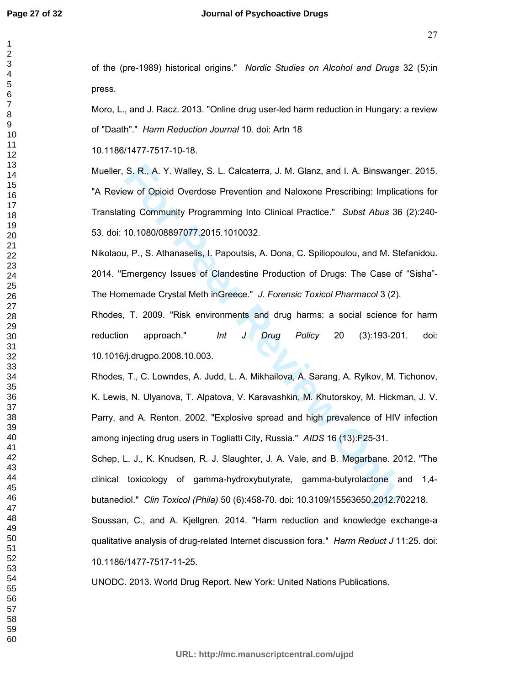| 1<br>$\overline{c}$                 |  |
|-------------------------------------|--|
| 3<br>4<br>5                         |  |
| 6<br>7                              |  |
| 8<br>9<br>10                        |  |
| 1<br>$\mathbf 1$                    |  |
|                                     |  |
|                                     |  |
|                                     |  |
| 12 13 14 15 16 17 18 19 20 12 22 23 |  |
|                                     |  |
|                                     |  |
|                                     |  |
|                                     |  |
|                                     |  |
|                                     |  |
| 38<br>39                            |  |
| 40<br>41                            |  |
| 42<br>43<br>44                      |  |
| 45<br>46                            |  |
| 47<br>48                            |  |
| 49<br>50<br>51                      |  |
| -<br>52<br>53                       |  |
| 54<br>55<br>56                      |  |
| 57<br>58                            |  |
| 59<br>60                            |  |

of the (pre-1989) historical origins." *Nordic Studies on Alcohol and Drugs* 32 (5):in press.

Moro, L., and J. Racz. 2013. "Online drug user-led harm reduction in Hungary: a review of "Daath"." *Harm Reduction Journal* 10. doi: Artn 18

10.1186/1477-7517-10-18.

**For Peer Review of Opioid Overdose Prevention and Naloxone Prescribing: Implication of Opioid Overdose Prevention and Naloxone Prescribing: Implication of Opioid Overdose Prevention and Naloxone Prescribing: Implication o** Mueller, S. R., A. Y. Walley, S. L. Calcaterra, J. M. Glanz, and I. A. Binswanger. 2015. "A Review of Opioid Overdose Prevention and Naloxone Prescribing: Implications for Translating Community Programming Into Clinical Practice." *Subst Abus* 36 (2):240- 53. doi: 10.1080/08897077.2015.1010032.

Nikolaou, P., S. Athanaselis, I. Papoutsis, A. Dona, C. Spiliopoulou, and M. Stefanidou. 2014. "Emergency Issues of Clandestine Production of Drugs: The Case of "Sisha"- The Homemade Crystal Meth inGreece." *J. Forensic Toxicol Pharmacol* 3 (2).

Rhodes, T. 2009. "Risk environments and drug harms: a social science for harm reduction approach." *Int J Drug Policy* 20 (3):193-201. doi: 10.1016/j.drugpo.2008.10.003.

Rhodes, T., C. Lowndes, A. Judd, L. A. Mikhailova, A. Sarang, A. Rylkov, M. Tichonov, K. Lewis, N. Ulyanova, T. Alpatova, V. Karavashkin, M. Khutorskoy, M. Hickman, J. V. Parry, and A. Renton. 2002. "Explosive spread and high prevalence of HIV infection among injecting drug users in Togliatti City, Russia." *AIDS* 16 (13):F25-31.

Schep, L. J., K. Knudsen, R. J. Slaughter, J. A. Vale, and B. Megarbane. 2012. "The clinical toxicology of gamma-hydroxybutyrate, gamma-butyrolactone and 1,4 butanediol." *Clin Toxicol (Phila)* 50 (6):458-70. doi: 10.3109/15563650.2012.702218. Soussan, C., and A. Kjellgren. 2014. "Harm reduction and knowledge exchange-a qualitative analysis of drug-related Internet discussion fora." *Harm Reduct J* 11:25. doi:

10.1186/1477-7517-11-25.

UNODC. 2013. World Drug Report. New York: United Nations Publications.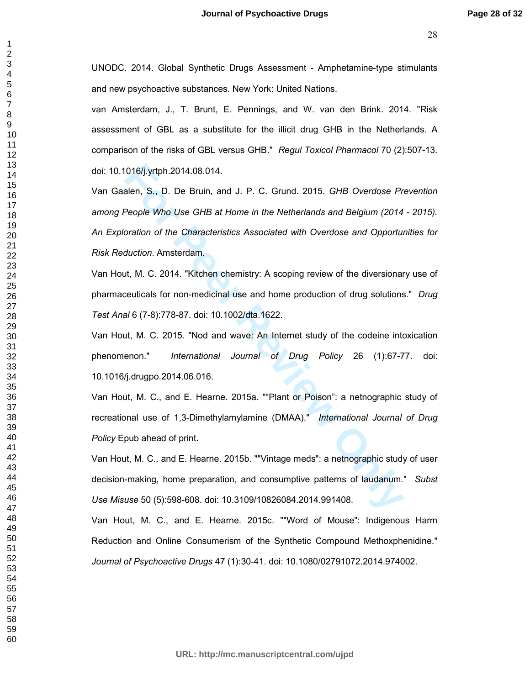UNODC. 2014. Global Synthetic Drugs Assessment - Amphetamine-type stimulants and new psychoactive substances. New York: United Nations.

van Amsterdam, J., T. Brunt, E. Pennings, and W. van den Brink. 2014. "Risk assessment of GBL as a substitute for the illicit drug GHB in the Netherlands. A comparison of the risks of GBL versus GHB." *Regul Toxicol Pharmacol* 70 (2):507-13. doi: 10.1016/j.yrtph.2014.08.014.

1016/j.yrtph.2014.08.014.<br>
alen, S., D. De Bruin, and J. P. C. Grund. 2015. *GHB Overdose Pn*<br>
People Who Use *GHB at Home in the Netherlands and Belgium* (2014<br>
oration of the Characteristics Associated with Overdose and Van Gaalen, S., D. De Bruin, and J. P. C. Grund. 2015. *GHB Overdose Prevention among People Who Use GHB at Home in the Netherlands and Belgium (2014 - 2015). An Exploration of the Characteristics Associated with Overdose and Opportunities for Risk Reduction*. Amsterdam.

Van Hout, M. C. 2014. "Kitchen chemistry: A scoping review of the diversionary use of pharmaceuticals for non-medicinal use and home production of drug solutions." *Drug Test Anal* 6 (7-8):778-87. doi: 10.1002/dta.1622.

Van Hout, M. C. 2015. "Nod and wave: An Internet study of the codeine intoxication phenomenon." *International Journal of Drug Policy* 26 (1):67-77. doi: 10.1016/j.drugpo.2014.06.016.

Van Hout, M. C., and E. Hearne. 2015a. ""Plant or Poison": a netnographic study of recreational use of 1,3-Dimethylamylamine (DMAA)." *International Journal of Drug Policy* Epub ahead of print.

Van Hout, M. C., and E. Hearne. 2015b. ""Vintage meds": a netnographic study of user decision-making, home preparation, and consumptive patterns of laudanum." *Subst Use Misuse* 50 (5):598-608. doi: 10.3109/10826084.2014.991408.

Van Hout, M. C., and E. Hearne. 2015c. ""Word of Mouse": Indigenous Harm Reduction and Online Consumerism of the Synthetic Compound Methoxphenidine." *Journal of Psychoactive Drugs* 47 (1):30-41. doi: 10.1080/02791072.2014.974002.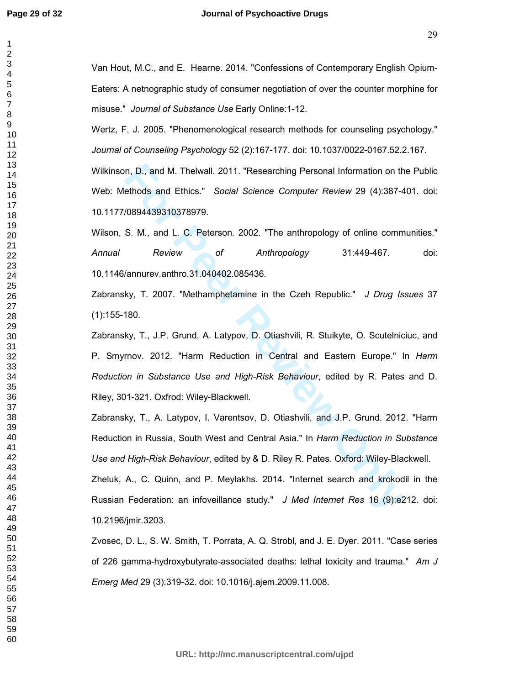#### **Journal of Psychoactive Drugs**

Van Hout, M.C., and E. Hearne. 2014. "Confessions of Contemporary English Opium-Eaters: A netnographic study of consumer negotiation of over the counter morphine for misuse." *Journal of Substance Use* Early Online:1-12.

Wertz, F. J. 2005. "Phenomenological research methods for counseling psychology." *Journal of Counseling Psychology* 52 (2):167-177. doi: 10.1037/0022-0167.52.2.167. Wilkinson, D., and M. Thelwall. 2011. "Researching Personal Information on the Public Web: Methods and Ethics." *Social Science Computer Review* 29 (4):387-401. doi: 10.1177/0894439310378979.

Wilson, S. M., and L. C. Peterson. 2002. "The anthropology of online communities." *Annual Review of Anthropology* 31:449-467. doi: 10.1146/annurev.anthro.31.040402.085436.

Zabransky, T. 2007. "Methamphetamine in the Czeh Republic." *J Drug Issues* 37 (1):155-180.

m, D., and M. Thelwall. 2011. "Researching Personal Information on the<br>thods and Ethics." Social Science Computer Review 29 (4):387-4<br> **For Peer Review Conduct Computer Science Computer** Review 29 (4):387-4<br> **For Peer SCIP** Zabransky, T., J.P. Grund, A. Latypov, D. Otiashvili, R. Stuikyte, O. Scutelniciuc, and P. Smyrnov. 2012. "Harm Reduction in Central and Eastern Europe." In *Harm Reduction in Substance Use and High-Risk Behaviour*, edited by R. Pates and D. Riley, 301-321. Oxfrod: Wiley-Blackwell.

Zabransky, T., A. Latypov, I. Varentsov, D. Otiashvili, and J.P. Grund. 2012. "Harm Reduction in Russia, South West and Central Asia." In *Harm Reduction in Substance Use and High-Risk Behaviour*, edited by & D. Riley R. Pates. Oxford: Wiley-Blackwell.

Zheluk, A., C. Quinn, and P. Meylakhs. 2014. "Internet search and krokodil in the Russian Federation: an infoveillance study." *J Med Internet Res* 16 (9):e212. doi: 10.2196/jmir.3203.

Zvosec, D. L., S. W. Smith, T. Porrata, A. Q. Strobl, and J. E. Dyer. 2011. "Case series of 226 gamma-hydroxybutyrate-associated deaths: lethal toxicity and trauma." *Am J Emerg Med* 29 (3):319-32. doi: 10.1016/j.ajem.2009.11.008.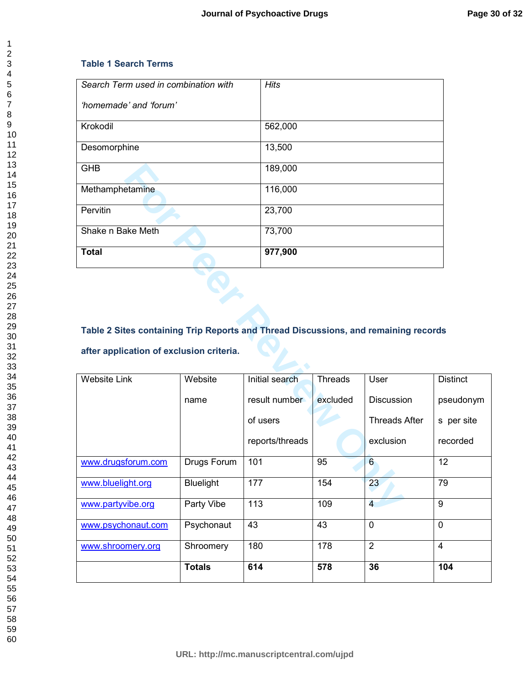# **Table 1 Search Terms**

| Search Term used in combination with | <b>Hits</b> |
|--------------------------------------|-------------|
| 'homemade' and 'forum'               |             |
| Krokodil                             | 562,000     |
| Desomorphine                         | 13,500      |
| <b>GHB</b>                           | 189,000     |
| Methamphetamine                      | 116,000     |
| Pervitin                             | 23,700      |
| Shake n Bake Meth                    | 73,700      |
| <b>Total</b>                         | 977,900     |

# **Table 2 Sites containing Trip Reports and Thread Discussions, and remaining records after application of exclusion criteria.**

| <b>GHB</b>                                                                          |                    | 189,000         |          |                      |                 |
|-------------------------------------------------------------------------------------|--------------------|-----------------|----------|----------------------|-----------------|
| Methamphetamine                                                                     |                    | 116,000         |          |                      |                 |
| Pervitin                                                                            |                    | 23,700          |          |                      |                 |
| Shake n Bake Meth                                                                   |                    | 73,700          |          |                      |                 |
| <b>Total</b>                                                                        |                    | 977,900         |          |                      |                 |
|                                                                                     |                    |                 |          |                      |                 |
|                                                                                     |                    |                 |          |                      |                 |
|                                                                                     |                    |                 |          |                      |                 |
| Table 2 Sites containing Trip Reports and Thread Discussions, and remaining records |                    |                 |          |                      |                 |
| after application of exclusion criteria.                                            |                    |                 |          |                      |                 |
|                                                                                     |                    |                 |          |                      |                 |
| <b>Website Link</b>                                                                 | Website            | Initial search  | Threads  | User                 | <b>Distinct</b> |
|                                                                                     | name               | result number   | excluded | <b>Discussion</b>    | pseudonym       |
|                                                                                     |                    | of users        |          | <b>Threads After</b> | s per site      |
|                                                                                     |                    | reports/threads |          | exclusion            | recorded        |
| www.drugsforum.com                                                                  | <b>Drugs Forum</b> | 101             | 95       | $\overline{6}$       | 12              |
| www.bluelight.org                                                                   | <b>Bluelight</b>   | 177             | 154      | 23                   | 79              |
| www.partyvibe.org                                                                   | Party Vibe         | 113             | 109      | $\overline{4}$       | $\overline{9}$  |
| www.psychonaut.com                                                                  | Psychonaut         | 43              | 43       | $\overline{0}$       | $\mathbf 0$     |
| www.shroomery.org                                                                   | Shroomery          | 180             | 178      | $\overline{2}$       | $\overline{4}$  |
|                                                                                     | <b>Totals</b>      | 614             | 578      | 36                   | 104             |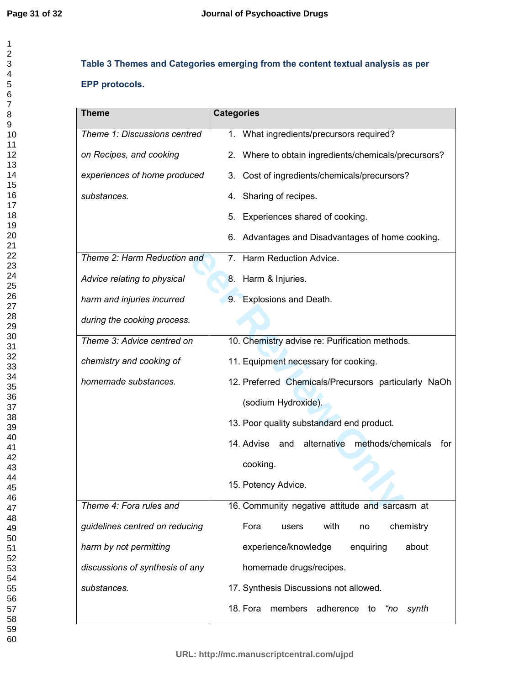# **Table 3 Themes and Categories emerging from the content textual analysis as per EPP protocols.**

| <b>Theme</b>                    | <b>Categories</b>                                         |
|---------------------------------|-----------------------------------------------------------|
| Theme 1: Discussions centred    | 1. What ingredients/precursors required?                  |
| on Recipes, and cooking         | 2. Where to obtain ingredients/chemicals/precursors?      |
| experiences of home produced    | 3. Cost of ingredients/chemicals/precursors?              |
| substances.                     | 4. Sharing of recipes.                                    |
|                                 | 5. Experiences shared of cooking.                         |
|                                 | 6. Advantages and Disadvantages of home cooking.          |
| Theme 2: Harm Reduction and     | 7. Harm Reduction Advice.                                 |
| Advice relating to physical     | 8. Harm & Injuries.                                       |
| harm and injuries incurred      | 9. Explosions and Death.                                  |
| during the cooking process.     |                                                           |
| Theme 3: Advice centred on      | 10. Chemistry advise re: Purification methods.            |
| chemistry and cooking of        | 11. Equipment necessary for cooking.                      |
| homemade substances.            | 12. Preferred Chemicals/Precursors particularly NaOh      |
|                                 | (sodium Hydroxide).                                       |
|                                 | 13. Poor quality substandard end product.                 |
|                                 | 14. Advise and<br>alternative<br>methods/chemicals<br>for |
|                                 | cooking.                                                  |
|                                 | 15. Potency Advice.                                       |
| Theme 4: Fora rules and         | 16. Community negative attitude and sarcasm at            |
| guidelines centred on reducing  | Fora<br>with<br>chemistry<br>users<br>no                  |
| harm by not permitting          | experience/knowledge<br>about<br>enquiring                |
| discussions of synthesis of any | homemade drugs/recipes.                                   |
| substances.                     | 17. Synthesis Discussions not allowed.                    |
|                                 | members adherence to<br>18. Fora<br>synth<br>"no          |